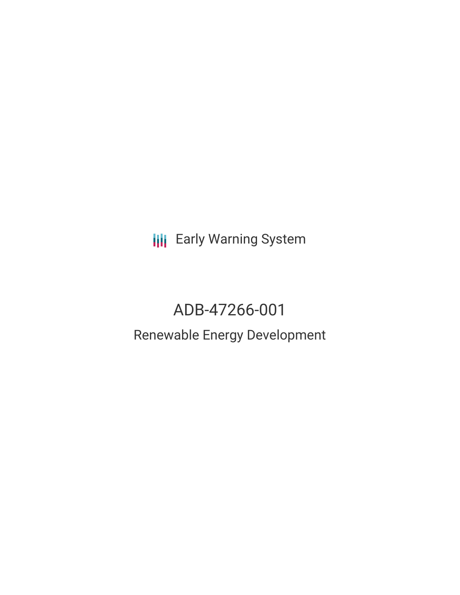**III** Early Warning System

# ADB-47266-001 Renewable Energy Development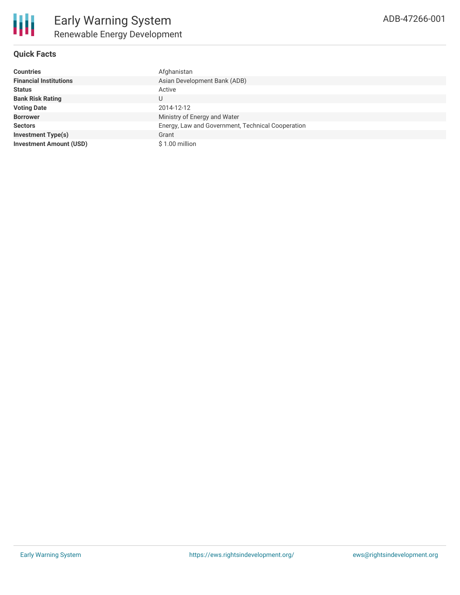

| <b>Countries</b>               | Afghanistan                                       |
|--------------------------------|---------------------------------------------------|
| <b>Financial Institutions</b>  | Asian Development Bank (ADB)                      |
| <b>Status</b>                  | Active                                            |
| <b>Bank Risk Rating</b>        | U                                                 |
| <b>Voting Date</b>             | 2014-12-12                                        |
| <b>Borrower</b>                | Ministry of Energy and Water                      |
| <b>Sectors</b>                 | Energy, Law and Government, Technical Cooperation |
| <b>Investment Type(s)</b>      | Grant                                             |
| <b>Investment Amount (USD)</b> | \$1.00 million                                    |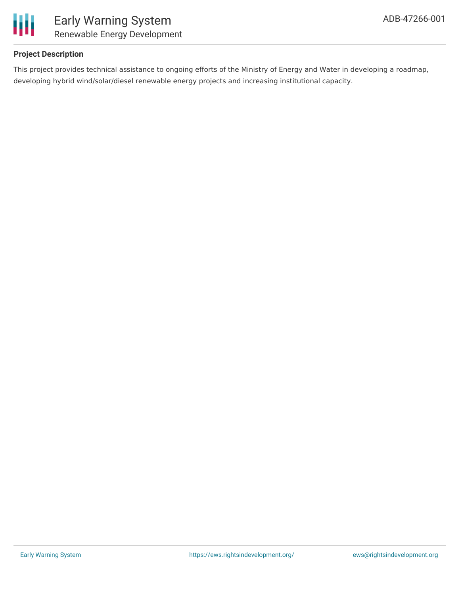

## **Project Description**

This project provides technical assistance to ongoing efforts of the Ministry of Energy and Water in developing a roadmap, developing hybrid wind/solar/diesel renewable energy projects and increasing institutional capacity.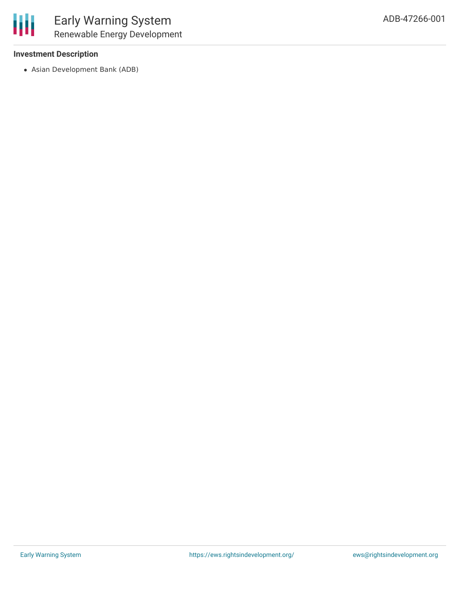## **Investment Description**

Asian Development Bank (ADB)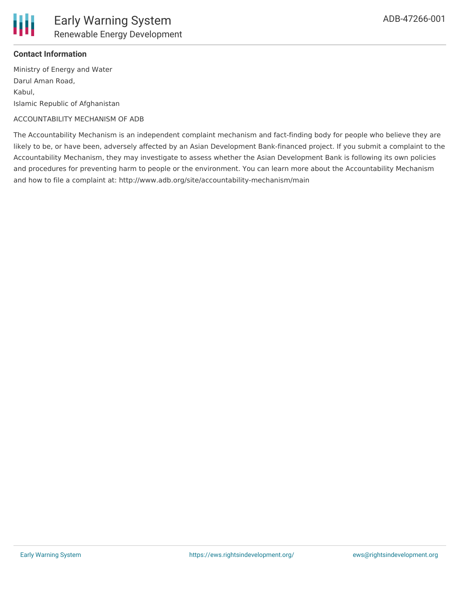

Ministry of Energy and Water Darul Aman Road, Kabul, Islamic Republic of Afghanistan

### ACCOUNTABILITY MECHANISM OF ADB

The Accountability Mechanism is an independent complaint mechanism and fact-finding body for people who believe they are likely to be, or have been, adversely affected by an Asian Development Bank-financed project. If you submit a complaint to the Accountability Mechanism, they may investigate to assess whether the Asian Development Bank is following its own policies and procedures for preventing harm to people or the environment. You can learn more about the Accountability Mechanism and how to file a complaint at: http://www.adb.org/site/accountability-mechanism/main